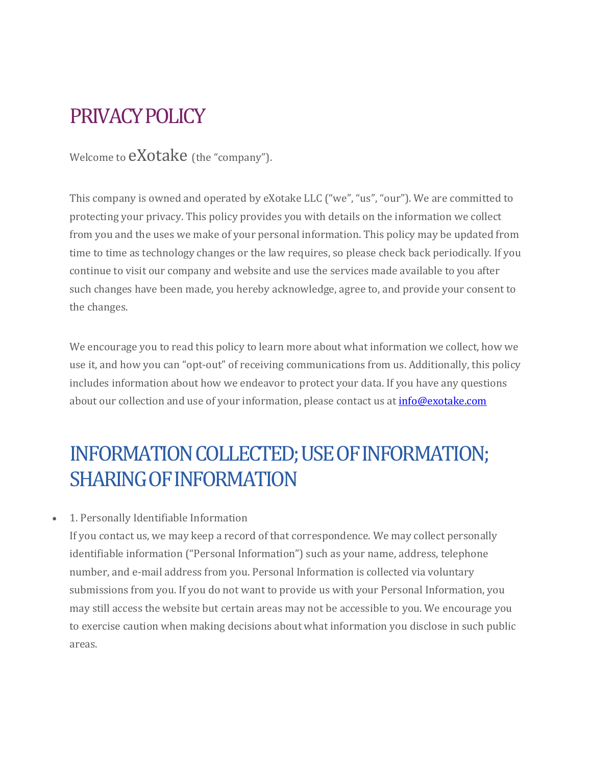## PRIVACY POLICY

Welcome to **eXotake** (the "company").

This company is owned and operated by eXotake LLC ("we", "us", "our"). We are committed to protecting your privacy. This policy provides you with details on the information we collect from you and the uses we make of your personal information. This policy may be updated from time to time as technology changes or the law requires, so please check back periodically. If you continue to visit our company and website and use the services made available to you after such changes have been made, you hereby acknowledge, agree to, and provide your consent to the changes.

We encourage you to read this policy to learn more about what information we collect, how we use it, and how you can "opt-out" of receiving communications from us. Additionally, this policy includes information about how we endeavor to protect your data. If you have any questions about our collection and use of your information, please contact us at [info@exotake.com](mailto:info@exotake.com)

# INFORMATION COLLECTED; USE OF INFORMATION; SHARING OF INFORMATION

• 1. Personally Identifiable Information

If you contact us, we may keep a record of that correspondence. We may collect personally identifiable information ("Personal Information") such as your name, address, telephone number, and e-mail address from you. Personal Information is collected via voluntary submissions from you. If you do not want to provide us with your Personal Information, you may still access the website but certain areas may not be accessible to you. We encourage you to exercise caution when making decisions about what information you disclose in such public areas.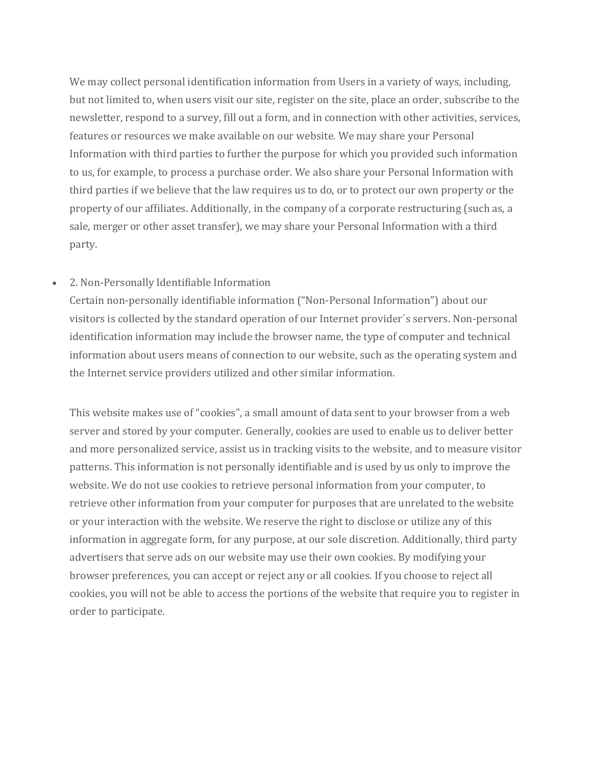We may collect personal identification information from Users in a variety of ways, including, but not limited to, when users visit our site, register on the site, place an order, subscribe to the newsletter, respond to a survey, fill out a form, and in connection with other activities, services, features or resources we make available on our website. We may share your Personal Information with third parties to further the purpose for which you provided such information to us, for example, to process a purchase order. We also share your Personal Information with third parties if we believe that the law requires us to do, or to protect our own property or the property of our affiliates. Additionally, in the company of a corporate restructuring (such as, a sale, merger or other asset transfer), we may share your Personal Information with a third party.

#### • 2. Non-Personally Identifiable Information

Certain non-personally identifiable information ("Non-Personal Information") about our visitors is collected by the standard operation of our Internet provider´s servers. Non-personal identification information may include the browser name, the type of computer and technical information about users means of connection to our website, such as the operating system and the Internet service providers utilized and other similar information.

This website makes use of "cookies", a small amount of data sent to your browser from a web server and stored by your computer. Generally, cookies are used to enable us to deliver better and more personalized service, assist us in tracking visits to the website, and to measure visitor patterns. This information is not personally identifiable and is used by us only to improve the website. We do not use cookies to retrieve personal information from your computer, to retrieve other information from your computer for purposes that are unrelated to the website or your interaction with the website. We reserve the right to disclose or utilize any of this information in aggregate form, for any purpose, at our sole discretion. Additionally, third party advertisers that serve ads on our website may use their own cookies. By modifying your browser preferences, you can accept or reject any or all cookies. If you choose to reject all cookies, you will not be able to access the portions of the website that require you to register in order to participate.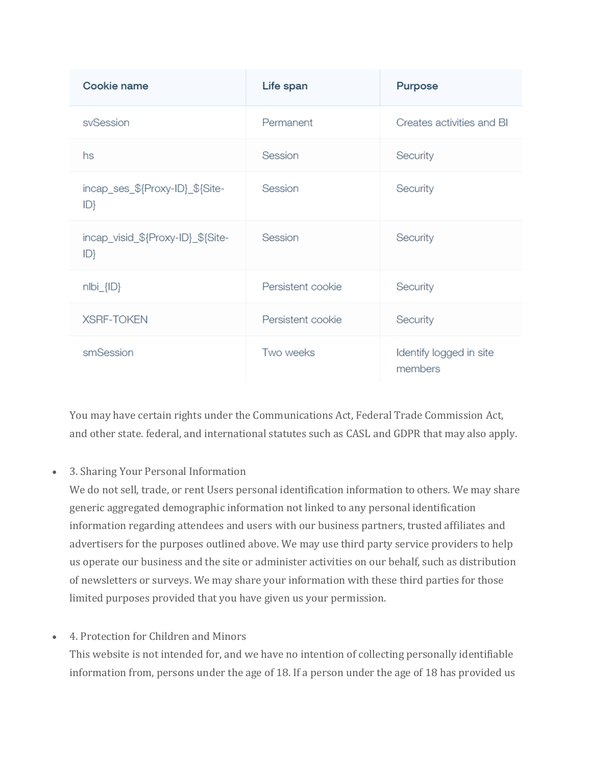| Cookie name                             | Life span         | Purpose                            |
|-----------------------------------------|-------------------|------------------------------------|
| sySession                               | Permanent         | Creates activities and BI          |
| hs                                      | Session           | Security                           |
| incap_ses_\${Proxy-ID}_\${Site-<br>ID   | Session           | Security                           |
| incap_visid_\${Proxy-ID}_\${Site-<br>ID | Session           | Security                           |
| $nIbi_{I}$ $I.D$                        | Persistent cookie | Security                           |
| <b>XSRF-TOKEN</b>                       | Persistent cookie | Security                           |
| smSession                               | Two weeks         | Identify logged in site<br>members |

You may have certain rights under the Communications Act, Federal Trade Commission Act, and other state. federal, and international statutes such as CASL and GDPR that may also apply.

• 3. Sharing Your Personal Information

We do not sell, trade, or rent Users personal identification information to others. We may share generic aggregated demographic information not linked to any personal identification information regarding attendees and users with our business partners, trusted affiliates and advertisers for the purposes outlined above. We may use third party service providers to help us operate our business and the site or administer activities on our behalf, such as distribution of newsletters or surveys. We may share your information with these third parties for those limited purposes provided that you have given us your permission.

• 4. Protection for Children and Minors

This website is not intended for, and we have no intention of collecting personally identifiable information from, persons under the age of 18. If a person under the age of 18 has provided us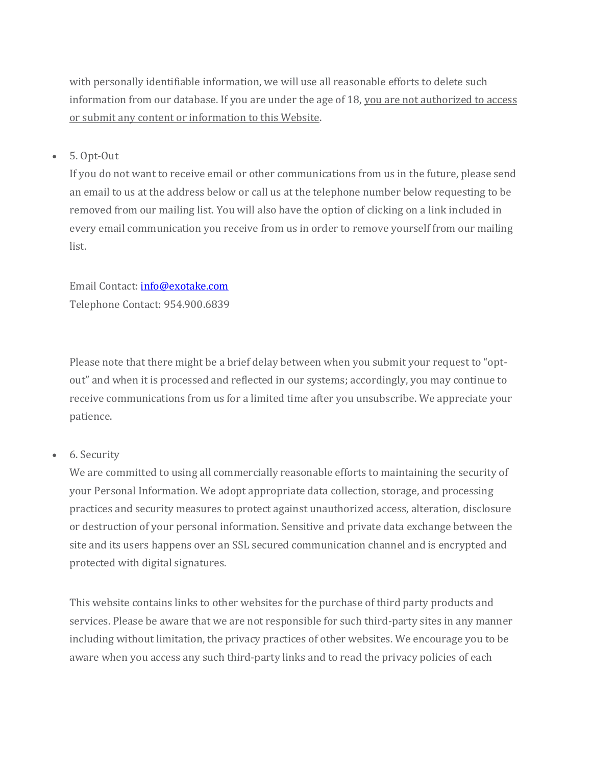with personally identifiable information, we will use all reasonable efforts to delete such information from our database. If you are under the age of 18, you are not authorized to access or submit any content or information to this Website.

• 5. Opt-Out

If you do not want to receive email or other communications from us in the future, please send an email to us at the address below or call us at the telephone number below requesting to be removed from our mailing list. You will also have the option of clicking on a link included in every email communication you receive from us in order to remove yourself from our mailing list.

Email Contact[: info@exotake.com](mailto:info@exotake.com) Telephone Contact: 954.900.6839

Please note that there might be a brief delay between when you submit your request to "optout" and when it is processed and reflected in our systems; accordingly, you may continue to receive communications from us for a limited time after you unsubscribe. We appreciate your patience.

## • 6. Security

We are committed to using all commercially reasonable efforts to maintaining the security of your Personal Information. We adopt appropriate data collection, storage, and processing practices and security measures to protect against unauthorized access, alteration, disclosure or destruction of your personal information. Sensitive and private data exchange between the site and its users happens over an SSL secured communication channel and is encrypted and protected with digital signatures.

This website contains links to other websites for the purchase of third party products and services. Please be aware that we are not responsible for such third-party sites in any manner including without limitation, the privacy practices of other websites. We encourage you to be aware when you access any such third-party links and to read the privacy policies of each